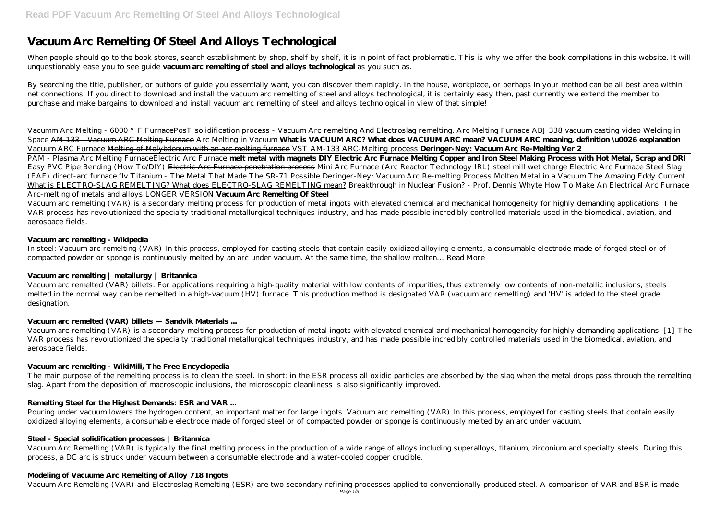# **Vacuum Arc Remelting Of Steel And Alloys Technological**

When people should go to the book stores, search establishment by shop, shelf by shelf, it is in point of fact problematic. This is why we offer the book compilations in this website. It will unquestionably ease you to see guide **vacuum arc remelting of steel and alloys technological** as you such as.

By searching the title, publisher, or authors of guide you essentially want, you can discover them rapidly. In the house, workplace, or perhaps in your method can be all best area within net connections. If you direct to download and install the vacuum arc remelting of steel and alloys technological, it is certainly easy then, past currently we extend the member to purchase and make bargains to download and install vacuum arc remelting of steel and alloys technological in view of that simple!

Vacumm Arc Melting - 6000 °F FurnacePosT solidification process - Vacuum Arc remelting And Electroslag remelting. Arc Melting Furnace ABJ 338 vacuum casting video *Welding in Space* AM 133 - Vacuum ARC Melting Furnace *Arc Melting in Vacuum* **What is VACUUM ARC? What does VACUUM ARC mean? VACUUM ARC meaning, definition \u0026 explanation** Vacuum ARC Furnace Melting of Molybdenum with an arc melting furnace *VST AM-133 ARC-Melting process* **Deringer-Ney: Vacuum Arc Re-Melting Ver 2** PAM - Plasma Arc Melting Furnace*Electric Arc Furnace* **melt metal with magnets DIY Electric Arc Furnace Melting Copper and Iron Steel Making Process with Hot Metal, Scrap and DRI** Easy PVC Pipe Bending (How To/DIY) Electric Arc Furnace penetration process *Mini Arc Furnace (Arc Reactor Technology IRL) steel mill wet charge Electric Arc Furnace Steel Slag (EAF)* direct-arc furnace.flv Titanium - The Metal That Made The SR-71 Possible Deringer-Ney: Vacuum Arc Re-melting Process Molten Metal in a Vacuum *The Amazing Eddy Current* What is ELECTRO-SLAG REMELTING? What does ELECTRO-SLAG REMELTING mean? Breakthrough in Nuclear Fusion? - Prof. Dennis Whyte *How To Make An Electrical Arc Furnace* Arc-melting of metals and alloys LONGER VERSION **Vacuum Arc Remelting Of Steel**

The main purpose of the remelting process is to clean the steel. In short: in the ESR process all oxidic particles are absorbed by the slag when the metal drops pass through the remelting slag. Apart from the deposition of macroscopic inclusions, the microscopic cleanliness is also significantly improved.

Vacuum arc remelting (VAR) is a secondary melting process for production of metal ingots with elevated chemical and mechanical homogeneity for highly demanding applications. The VAR process has revolutionized the specialty traditional metallurgical techniques industry, and has made possible incredibly controlled materials used in the biomedical, aviation, and aerospace fields.

#### **Vacuum arc remelting - Wikipedia**

In steel: Vacuum arc remelting (VAR) In this process, employed for casting steels that contain easily oxidized alloying elements, a consumable electrode made of forged steel or of compacted powder or sponge is continuously melted by an arc under vacuum. At the same time, the shallow molten… Read More

#### **Vacuum arc remelting | metallurgy | Britannica**

Vacuum arc remelted (VAR) billets. For applications requiring a high-quality material with low contents of impurities, thus extremely low contents of non-metallic inclusions, steels melted in the normal way can be remelted in a high-vacuum (HV) furnace. This production method is designated VAR (vacuum arc remelting) and 'HV' is added to the steel grade designation.

#### **Vacuum arc remelted (VAR) billets — Sandvik Materials ...**

Vacuum arc remelting (VAR) is a secondary melting process for production of metal ingots with elevated chemical and mechanical homogeneity for highly demanding applications. [1] The VAR process has revolutionized the specialty traditional metallurgical techniques industry, and has made possible incredibly controlled materials used in the biomedical, aviation, and aerospace fields.

#### **Vacuum arc remelting - WikiMili, The Free Encyclopedia**

#### **Remelting Steel for the Highest Demands: ESR and VAR ...**

Pouring under vacuum lowers the hydrogen content, an important matter for large ingots. Vacuum arc remelting (VAR) In this process, employed for casting steels that contain easily oxidized alloying elements, a consumable electrode made of forged steel or of compacted powder or sponge is continuously melted by an arc under vacuum.

#### **Steel - Special solidification processes | Britannica**

Vacuum Arc Remelting (VAR) is typically the final melting process in the production of a wide range of alloys including superalloys, titanium, zirconium and specialty steels. During this process, a DC arc is struck under vacuum between a consumable electrode and a water-cooled copper crucible.

#### **Modeling of Vacuume Arc Remelting of Alloy 718 Ingots**

Vacuum Arc Remelting (VAR) and Electroslag Remelting (ESR) are two secondary refining processes applied to conventionally produced steel. A comparison of VAR and BSR is made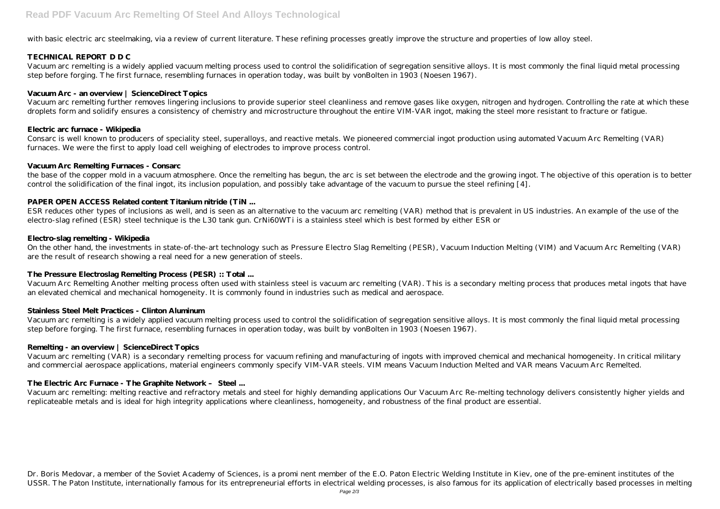with basic electric arc steelmaking, via a review of current literature. These refining processes greatly improve the structure and properties of low alloy steel.

#### **TECHNICAL REPORT D D C**

Vacuum arc remelting is a widely applied vacuum melting process used to control the solidification of segregation sensitive alloys. It is most commonly the final liquid metal processing step before forging. The first furnace, resembling furnaces in operation today, was built by vonBolten in 1903 (Noesen 1967).

#### **Vacuum Arc - an overview | ScienceDirect Topics**

Vacuum arc remelting further removes lingering inclusions to provide superior steel cleanliness and remove gases like oxygen, nitrogen and hydrogen. Controlling the rate at which these droplets form and solidify ensures a consistency of chemistry and microstructure throughout the entire VIM-VAR ingot, making the steel more resistant to fracture or fatigue.

#### **Electric arc furnace - Wikipedia**

Consarc is well known to producers of speciality steel, superalloys, and reactive metals. We pioneered commercial ingot production using automated Vacuum Arc Remelting (VAR) furnaces. We were the first to apply load cell weighing of electrodes to improve process control.

#### **Vacuum Arc Remelting Furnaces - Consarc**

the base of the copper mold in a vacuum atmosphere. Once the remelting has begun, the arc is set between the electrode and the growing ingot. The objective of this operation is to better control the solidification of the final ingot, its inclusion population, and possibly take advantage of the vacuum to pursue the steel refining [4].

#### **PAPER OPEN ACCESS Related content Titanium nitride (TiN ...**

ESR reduces other types of inclusions as well, and is seen as an alternative to the vacuum arc remelting (VAR) method that is prevalent in US industries. An example of the use of the electro-slag refined (ESR) steel technique is the L30 tank gun. CrNi60WTi is a stainless steel which is best formed by either ESR or

#### **Electro-slag remelting - Wikipedia**

Dr. Boris Medovar, a member of the Soviet Academy of Sciences, is a promi nent member of the E.O. Paton Electric Welding Institute in Kiev, one of the pre-eminent institutes of the USSR. The Paton Institute, internationally famous for its entrepreneurial efforts in electrical welding processes, is also famous for its application of electrically based processes in melting

On the other hand, the investments in state-of-the-art technology such as Pressure Electro Slag Remelting (PESR), Vacuum Induction Melting (VIM) and Vacuum Arc Remelting (VAR) are the result of research showing a real need for a new generation of steels.

#### **The Pressure Electroslag Remelting Process (PESR) :: Total ...**

Vacuum Arc Remelting Another melting process often used with stainless steel is vacuum arc remelting (VAR). This is a secondary melting process that produces metal ingots that have an elevated chemical and mechanical homogeneity. It is commonly found in industries such as medical and aerospace.

#### **Stainless Steel Melt Practices - Clinton Aluminum**

Vacuum arc remelting is a widely applied vacuum melting process used to control the solidification of segregation sensitive alloys. It is most commonly the final liquid metal processing step before forging. The first furnace, resembling furnaces in operation today, was built by vonBolten in 1903 (Noesen 1967).

#### **Remelting - an overview | ScienceDirect Topics**

Vacuum arc remelting (VAR) is a secondary remelting process for vacuum refining and manufacturing of ingots with improved chemical and mechanical homogeneity. In critical military and commercial aerospace applications, material engineers commonly specify VIM-VAR steels. VIM means Vacuum Induction Melted and VAR means Vacuum Arc Remelted.

### **The Electric Arc Furnace - The Graphite Network – Steel ...**

Vacuum arc remelting: melting reactive and refractory metals and steel for highly demanding applications Our Vacuum Arc Re-melting technology delivers consistently higher yields and replicateable metals and is ideal for high integrity applications where cleanliness, homogeneity, and robustness of the final product are essential.